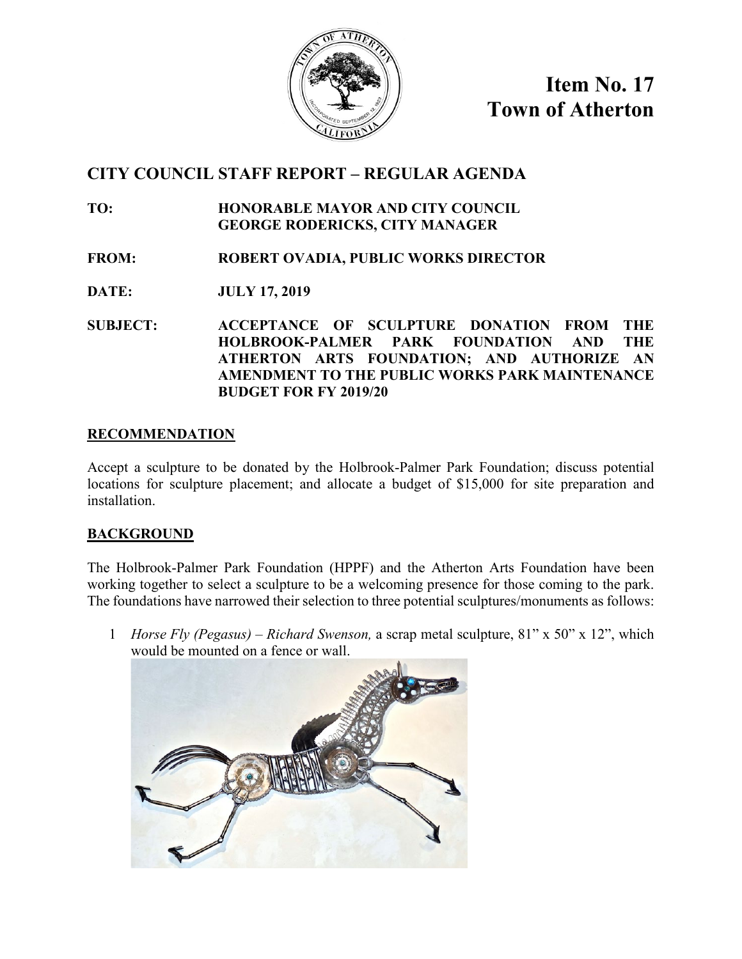

**Item No. 17 Town of Atherton**

## **CITY COUNCIL STAFF REPORT – REGULAR AGENDA**

**TO: HONORABLE MAYOR AND CITY COUNCIL GEORGE RODERICKS, CITY MANAGER**

- **FROM: ROBERT OVADIA, PUBLIC WORKS DIRECTOR**
- **DATE: JULY 17, 2019**

**SUBJECT: ACCEPTANCE OF SCULPTURE DONATION FROM THE HOLBROOK-PALMER PARK FOUNDATION AND THE ATHERTON ARTS FOUNDATION; AND AUTHORIZE AN AMENDMENT TO THE PUBLIC WORKS PARK MAINTENANCE BUDGET FOR FY 2019/20**

#### **RECOMMENDATION**

Accept a sculpture to be donated by the Holbrook-Palmer Park Foundation; discuss potential locations for sculpture placement; and allocate a budget of \$15,000 for site preparation and installation.

## **BACKGROUND**

The Holbrook-Palmer Park Foundation (HPPF) and the Atherton Arts Foundation have been working together to select a sculpture to be a welcoming presence for those coming to the park. The foundations have narrowed their selection to three potential sculptures/monuments as follows:

1 *Horse Fly (Pegasus) – Richard Swenson,* a scrap metal sculpture, 81" x 50" x 12", which would be mounted on a fence or wall.

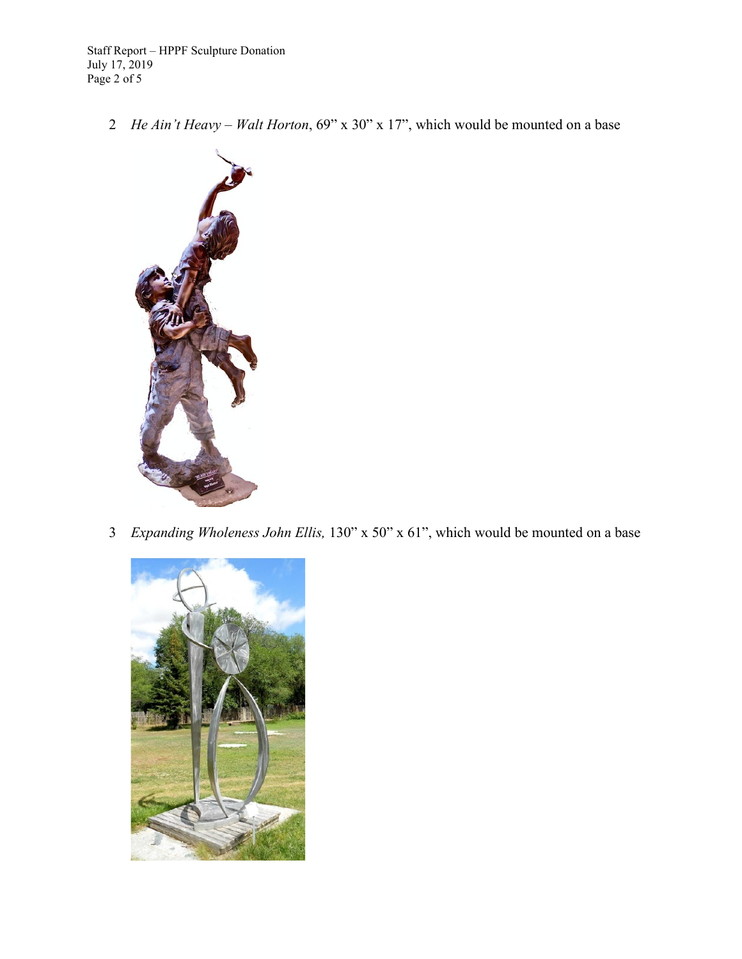Staff Report – HPPF Sculpture Donation July 17, 2019 Page 2 of 5

2 *He Ain't Heavy – Walt Horton*, 69" x 30" x 17", which would be mounted on a base



3 *Expanding Wholeness John Ellis,* 130" x 50" x 61", which would be mounted on a base

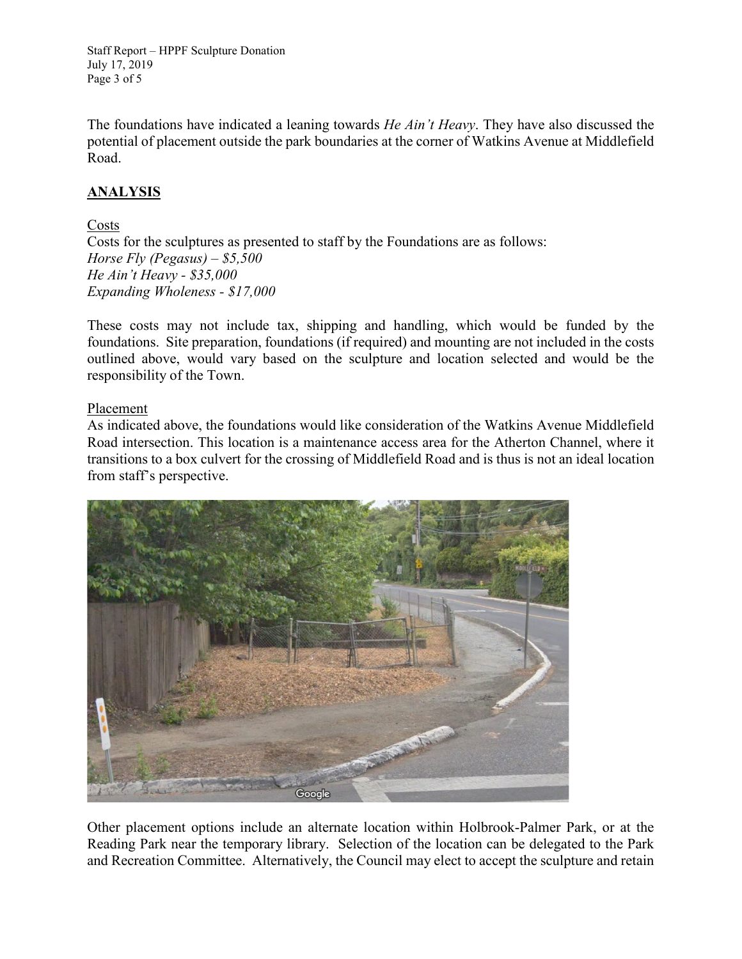Staff Report – HPPF Sculpture Donation July 17, 2019 Page 3 of 5

The foundations have indicated a leaning towards *He Ain't Heavy*. They have also discussed the potential of placement outside the park boundaries at the corner of Watkins Avenue at Middlefield Road.

# **ANALYSIS**

#### Costs

Costs for the sculptures as presented to staff by the Foundations are as follows: *Horse Fly (Pegasus) – \$5,500 He Ain't Heavy - \$35,000 Expanding Wholeness - \$17,000*

These costs may not include tax, shipping and handling, which would be funded by the foundations. Site preparation, foundations (if required) and mounting are not included in the costs outlined above, would vary based on the sculpture and location selected and would be the responsibility of the Town.

Placement

As indicated above, the foundations would like consideration of the Watkins Avenue Middlefield Road intersection. This location is a maintenance access area for the Atherton Channel, where it transitions to a box culvert for the crossing of Middlefield Road and is thus is not an ideal location from staff's perspective.



Other placement options include an alternate location within Holbrook-Palmer Park, or at the Reading Park near the temporary library. Selection of the location can be delegated to the Park and Recreation Committee. Alternatively, the Council may elect to accept the sculpture and retain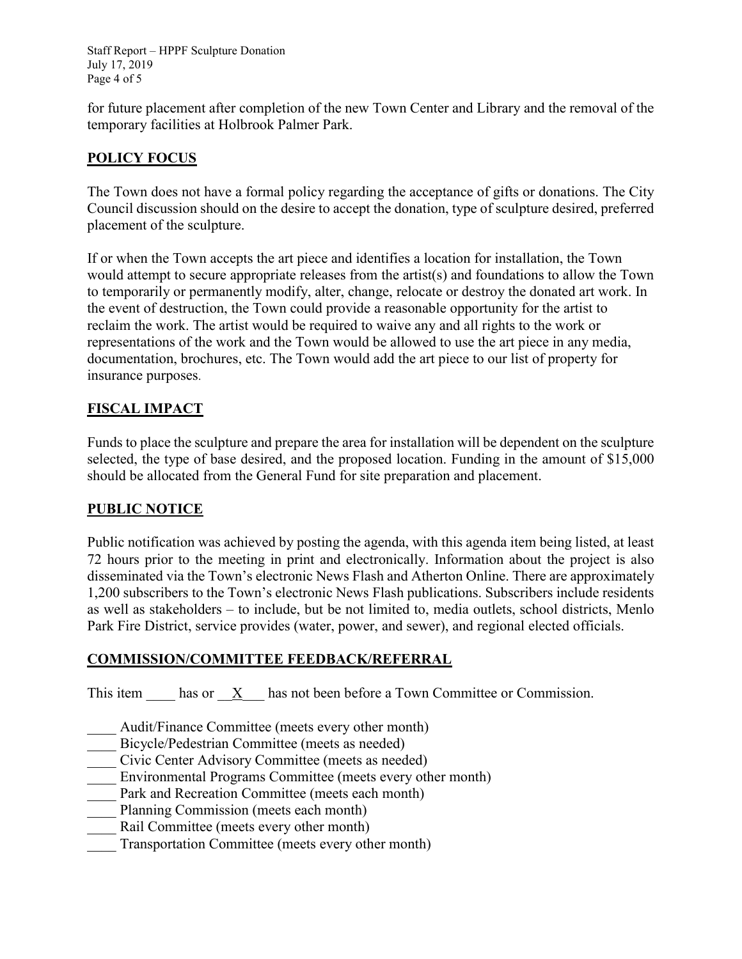Staff Report – HPPF Sculpture Donation July 17, 2019 Page 4 of 5

for future placement after completion of the new Town Center and Library and the removal of the temporary facilities at Holbrook Palmer Park.

### **POLICY FOCUS**

The Town does not have a formal policy regarding the acceptance of gifts or donations. The City Council discussion should on the desire to accept the donation, type of sculpture desired, preferred placement of the sculpture.

If or when the Town accepts the art piece and identifies a location for installation, the Town would attempt to secure appropriate releases from the artist(s) and foundations to allow the Town to temporarily or permanently modify, alter, change, relocate or destroy the donated art work. In the event of destruction, the Town could provide a reasonable opportunity for the artist to reclaim the work. The artist would be required to waive any and all rights to the work or representations of the work and the Town would be allowed to use the art piece in any media, documentation, brochures, etc. The Town would add the art piece to our list of property for insurance purposes.

## **FISCAL IMPACT**

Funds to place the sculpture and prepare the area for installation will be dependent on the sculpture selected, the type of base desired, and the proposed location. Funding in the amount of \$15,000 should be allocated from the General Fund for site preparation and placement.

#### **PUBLIC NOTICE**

Public notification was achieved by posting the agenda, with this agenda item being listed, at least 72 hours prior to the meeting in print and electronically. Information about the project is also disseminated via the Town's electronic News Flash and Atherton Online. There are approximately 1,200 subscribers to the Town's electronic News Flash publications. Subscribers include residents as well as stakeholders – to include, but be not limited to, media outlets, school districts, Menlo Park Fire District, service provides (water, power, and sewer), and regional elected officials.

#### **COMMISSION/COMMITTEE FEEDBACK/REFERRAL**

This item has or X has not been before a Town Committee or Commission.

- Audit/Finance Committee (meets every other month)
- Bicycle/Pedestrian Committee (meets as needed)
- \_\_\_\_ Civic Center Advisory Committee (meets as needed)
- Environmental Programs Committee (meets every other month)
- Park and Recreation Committee (meets each month)
- Planning Commission (meets each month)
- Rail Committee (meets every other month)
- Transportation Committee (meets every other month)